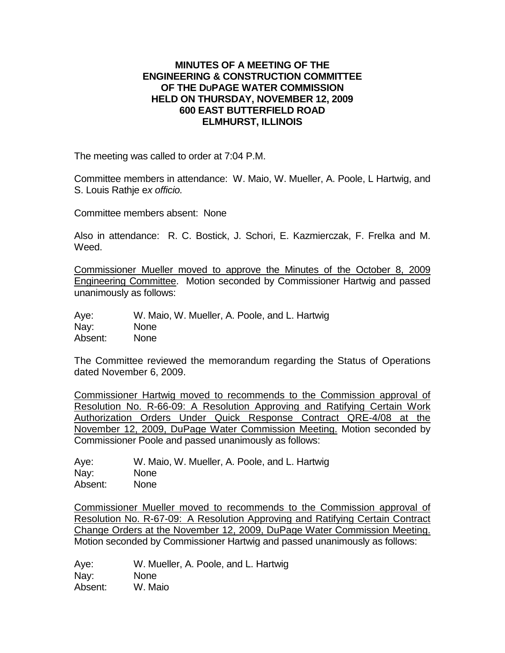## **MINUTES OF A MEETING OF THE ENGINEERING & CONSTRUCTION COMMITTEE OF THE DUPAGE WATER COMMISSION HELD ON THURSDAY, NOVEMBER 12, 2009 600 EAST BUTTERFIELD ROAD ELMHURST, ILLINOIS**

The meeting was called to order at 7:04 P.M.

Committee members in attendance: W. Maio, W. Mueller, A. Poole, L Hartwig, and S. Louis Rathje e*x officio.*

Committee members absent: None

Also in attendance: R. C. Bostick, J. Schori, E. Kazmierczak, F. Frelka and M. Weed.

Commissioner Mueller moved to approve the Minutes of the October 8, 2009 Engineering Committee. Motion seconded by Commissioner Hartwig and passed unanimously as follows:

Aye: W. Maio, W. Mueller, A. Poole, and L. Hartwig Nay: None Absent: None

The Committee reviewed the memorandum regarding the Status of Operations dated November 6, 2009.

Commissioner Hartwig moved to recommends to the Commission approval of Resolution No. R-66-09: A Resolution Approving and Ratifying Certain Work Authorization Orders Under Quick Response Contract QRE-4/08 at the November 12, 2009, DuPage Water Commission Meeting. Motion seconded by Commissioner Poole and passed unanimously as follows:

Aye: W. Maio, W. Mueller, A. Poole, and L. Hartwig Nay: None Absent: None

Commissioner Mueller moved to recommends to the Commission approval of Resolution No. R-67-09: A Resolution Approving and Ratifying Certain Contract Change Orders at the November 12, 2009, DuPage Water Commission Meeting. Motion seconded by Commissioner Hartwig and passed unanimously as follows:

Aye: W. Mueller, A. Poole, and L. Hartwig Nay: None Absent: W. Maio